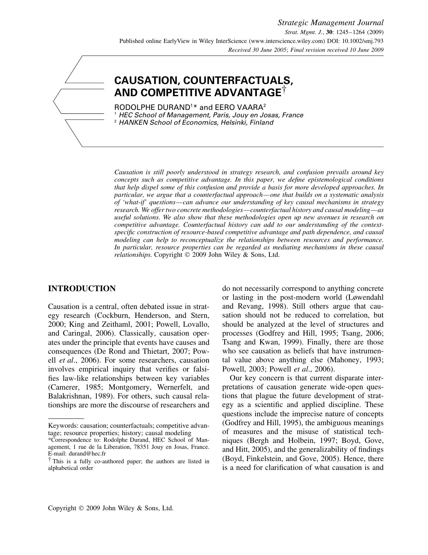# **CAUSATION, COUNTERFACTUALS, AND COMPETITIVE ADVANTAGE**†

RODOLPHE DURAND<sup>1\*</sup> and EERO VAARA<sup>2</sup> <sup>1</sup> HEC School of Management, Paris, Jouy en Josas, France <sup>2</sup> HANKEN School of Economics, Helsinki, Finland

*Causation is still poorly understood in strategy research, and confusion prevails around key concepts such as competitive advantage. In this paper, we define epistemological conditions that help dispel some of this confusion and provide a basis for more developed approaches. In particular, we argue that a counterfactual approach—one that builds on a systematic analysis of 'what-if' questions—can advance our understanding of key causal mechanisms in strategy research. We offer two concrete methodologies—counterfactual history and causal modeling—as useful solutions. We also show that these methodologies open up new avenues in research on competitive advantage. Counterfactual history can add to our understanding of the contextspecific construction of resource-based competitive advantage and path dependence, and causal modeling can help to reconceptualize the relationships between resources and performance. In particular, resource properties can be regarded as mediating mechanisms in these causal relationships.* Copyright  $\oslash$  2009 John Wiley & Sons, Ltd.

#### **INTRODUCTION**

Causation is a central, often debated issue in strategy research (Cockburn, Henderson, and Stern, 2000; King and Zeithaml, 2001; Powell, Lovallo, and Caringal, 2006). Classically, causation operates under the principle that events have causes and consequences (De Rond and Thietart, 2007; Powell *et al*., 2006). For some researchers, causation involves empirical inquiry that verifies or falsifies law-like relationships between key variables (Camerer, 1985; Montgomery, Wernerfelt, and Balakrishnan, 1989). For others, such causal relationships are more the discourse of researchers and do not necessarily correspond to anything concrete or lasting in the post-modern world (Løwendahl and Revang, 1998). Still others argue that causation should not be reduced to correlation, but should be analyzed at the level of structures and processes (Godfrey and Hill, 1995; Tsang, 2006; Tsang and Kwan, 1999). Finally, there are those who see causation as beliefs that have instrumental value above anything else (Mahoney, 1993; Powell, 2003; Powell *et al*., 2006).

Our key concern is that current disparate interpretations of causation generate wide-open questions that plague the future development of strategy as a scientific and applied discipline. These questions include the imprecise nature of concepts (Godfrey and Hill, 1995), the ambiguous meanings of measures and the misuse of statistical techniques (Bergh and Holbein, 1997; Boyd, Gove, and Hitt, 2005), and the generalizability of findings (Boyd, Finkelstein, and Gove, 2005). Hence, there is a need for clarification of what causation is and

Keywords: causation; counterfactuals; competitive advantage; resource properties; history; causal modeling

<sup>\*</sup>Correspondence to: Rodolphe Durand, HEC School of Management, 1 rue de la Liberation, 78351 Jouy en Josas, France. E-mail: durand@hec.fr

<sup>†</sup> This is a fully co-authored paper; the authors are listed in alphabetical order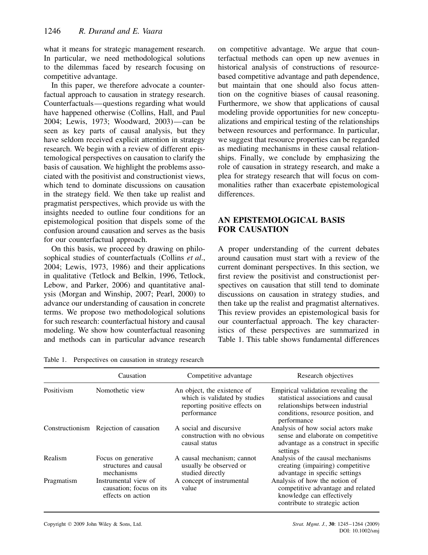what it means for strategic management research. In particular, we need methodological solutions to the dilemmas faced by research focusing on competitive advantage.

In this paper, we therefore advocate a counterfactual approach to causation in strategy research. Counterfactuals—questions regarding what would have happened otherwise (Collins, Hall, and Paul 2004; Lewis, 1973; Woodward, 2003)—can be seen as key parts of causal analysis, but they have seldom received explicit attention in strategy research. We begin with a review of different epistemological perspectives on causation to clarify the basis of causation. We highlight the problems associated with the positivist and constructionist views, which tend to dominate discussions on causation in the strategy field. We then take up realist and pragmatist perspectives, which provide us with the insights needed to outline four conditions for an epistemological position that dispels some of the confusion around causation and serves as the basis for our counterfactual approach.

On this basis, we proceed by drawing on philosophical studies of counterfactuals (Collins *et al*., 2004; Lewis, 1973, 1986) and their applications in qualitative (Tetlock and Belkin, 1996, Tetlock, Lebow, and Parker, 2006) and quantitative analysis (Morgan and Winship, 2007; Pearl, 2000) to advance our understanding of causation in concrete terms. We propose two methodological solutions for such research: counterfactual history and causal modeling. We show how counterfactual reasoning and methods can in particular advance research

Table 1. Perspectives on causation in strategy research

on competitive advantage. We argue that counterfactual methods can open up new avenues in historical analysis of constructions of resourcebased competitive advantage and path dependence, but maintain that one should also focus attention on the cognitive biases of causal reasoning. Furthermore, we show that applications of causal modeling provide opportunities for new conceptualizations and empirical testing of the relationships between resources and performance. In particular, we suggest that resource properties can be regarded as mediating mechanisms in these causal relationships. Finally, we conclude by emphasizing the role of causation in strategy research, and make a plea for strategy research that will focus on commonalities rather than exacerbate epistemological differences.

# **AN EPISTEMOLOGICAL BASIS FOR CAUSATION**

A proper understanding of the current debates around causation must start with a review of the current dominant perspectives. In this section, we first review the positivist and constructionist perspectives on causation that still tend to dominate discussions on causation in strategy studies, and then take up the realist and pragmatist alternatives. This review provides an epistemological basis for our counterfactual approach. The key characteristics of these perspectives are summarized in Table 1. This table shows fundamental differences

|            | Causation                                                            | Competitive advantage                                                                                        | Research objectives                                                                                                                                                |
|------------|----------------------------------------------------------------------|--------------------------------------------------------------------------------------------------------------|--------------------------------------------------------------------------------------------------------------------------------------------------------------------|
| Positivism | Nomothetic view                                                      | An object, the existence of<br>which is validated by studies<br>reporting positive effects on<br>performance | Empirical validation revealing the<br>statistical associations and causal<br>relationships between industrial<br>conditions, resource position, and<br>performance |
|            | Constructionism Rejection of causation                               | A social and discursive<br>construction with no obvious<br>causal status                                     | Analysis of how social actors make<br>sense and elaborate on competitive<br>advantage as a construct in specific<br>settings                                       |
| Realism    | Focus on generative<br>structures and causal<br>mechanisms           | A causal mechanism; cannot<br>usually be observed or<br>studied directly                                     | Analysis of the causal mechanisms<br>creating (impairing) competitive<br>advantage in specific settings                                                            |
| Pragmatism | Instrumental view of<br>causation; focus on its<br>effects on action | A concept of instrumental<br>value                                                                           | Analysis of how the notion of<br>competitive advantage and related<br>knowledge can effectively<br>contribute to strategic action                                  |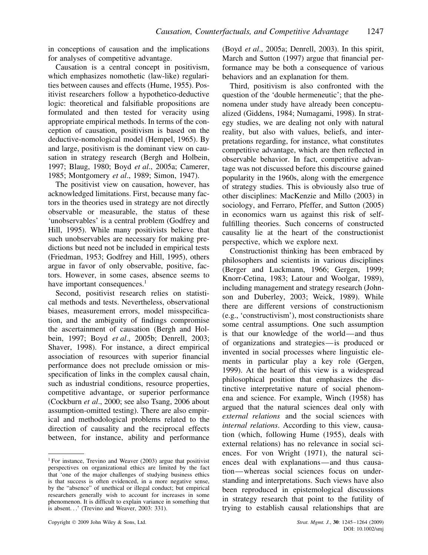in conceptions of causation and the implications for analyses of competitive advantage.

Causation is a central concept in positivism, which emphasizes nomothetic (law-like) regularities between causes and effects (Hume, 1955). Positivist researchers follow a hypothetico-deductive logic: theoretical and falsifiable propositions are formulated and then tested for veracity using appropriate empirical methods. In terms of the conception of causation, positivism is based on the deductive-nomological model (Hempel, 1965). By and large, positivism is the dominant view on causation in strategy research (Bergh and Holbein, 1997; Blaug, 1980; Boyd *et al*., 2005a; Camerer, 1985; Montgomery *et al*., 1989; Simon, 1947).

The positivist view on causation, however, has acknowledged limitations. First, because many factors in the theories used in strategy are not directly observable or measurable, the status of these 'unobservables' is a central problem (Godfrey and Hill, 1995). While many positivists believe that such unobservables are necessary for making predictions but need not be included in empirical tests (Friedman, 1953; Godfrey and Hill, 1995), others argue in favor of only observable, positive, factors. However, in some cases, absence seems to have important consequences.<sup>1</sup>

Second, positivist research relies on statistical methods and tests. Nevertheless, observational biases, measurement errors, model misspecification, and the ambiguity of findings compromise the ascertainment of causation (Bergh and Holbein, 1997; Boyd *et al*., 2005b; Denrell, 2003; Shaver, 1998). For instance, a direct empirical association of resources with superior financial performance does not preclude omission or misspecification of links in the complex causal chain, such as industrial conditions, resource properties, competitive advantage, or superior performance (Cockburn *et al*., 2000; see also Tsang, 2006 about assumption-omitted testing). There are also empirical and methodological problems related to the direction of causality and the reciprocal effects between, for instance, ability and performance (Boyd *et al*., 2005a; Denrell, 2003). In this spirit, March and Sutton (1997) argue that financial performance may be both a consequence of various behaviors and an explanation for them.

Third, positivism is also confronted with the question of the 'double hermeneutic'; that the phenomena under study have already been conceptualized (Giddens, 1984; Numagami, 1998). In strategy studies, we are dealing not only with natural reality, but also with values, beliefs, and interpretations regarding, for instance, what constitutes competitive advantage, which are then reflected in observable behavior. In fact, competitive advantage was not discussed before this discourse gained popularity in the 1960s, along with the emergence of strategy studies. This is obviously also true of other disciplines: MacKenzie and Millo (2003) in sociology, and Ferraro, Pfeffer, and Sutton (2005) in economics warn us against this risk of selffulfilling theories. Such concerns of constructed causality lie at the heart of the constructionist perspective, which we explore next.

Constructionist thinking has been embraced by philosophers and scientists in various disciplines (Berger and Luckmann, 1966; Gergen, 1999; Knorr-Cetina, 1983; Latour and Woolgar, 1989), including management and strategy research (Johnson and Duberley, 2003; Weick, 1989). While there are different versions of constructionism (e.g., 'constructivism'), most constructionists share some central assumptions. One such assumption is that our knowledge of the world—and thus of organizations and strategies—is produced or invented in social processes where linguistic elements in particular play a key role (Gergen, 1999). At the heart of this view is a widespread philosophical position that emphasizes the distinctive interpretative nature of social phenomena and science. For example, Winch (1958) has argued that the natural sciences deal only with *external relations* and the social sciences with *internal relations*. According to this view, causation (which, following Hume (1955), deals with external relations) has no relevance in social sciences. For von Wright (1971), the natural sciences deal with explanations—and thus causation—whereas social sciences focus on understanding and interpretations. Such views have also been reproduced in epistemological discussions in strategy research that point to the futility of trying to establish causal relationships that are

<sup>&</sup>lt;sup>1</sup> For instance, Trevino and Weaver  $(2003)$  argue that positivist perspectives on organizational ethics are limited by the fact that 'one of the major challenges of studying business ethics is that success is often evidenced, in a more negative sense, by the "absence" of unethical or illegal conduct; but empirical researchers generally wish to account for increases in some phenomenon. It is difficult to explain variance in something that is absent*...*' (Trevino and Weaver, 2003: 331).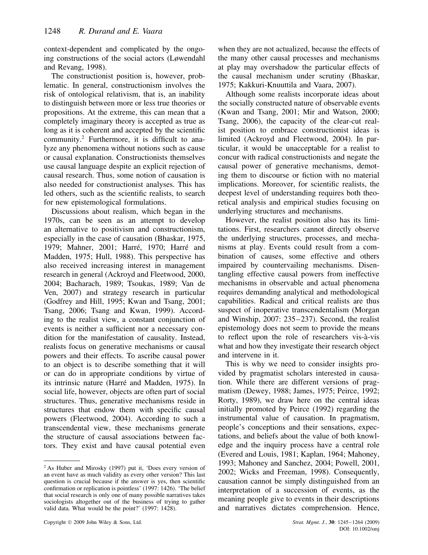context-dependent and complicated by the ongoing constructions of the social actors (Løwendahl and Revang, 1998).

The constructionist position is, however, problematic. In general, constructionism involves the risk of ontological relativism, that is, an inability to distinguish between more or less true theories or propositions. At the extreme, this can mean that a completely imaginary theory is accepted as true as long as it is coherent and accepted by the scientific community.2 Furthermore, it is difficult to analyze any phenomena without notions such as cause or causal explanation. Constructionists themselves use causal language despite an explicit rejection of causal research. Thus, some notion of causation is also needed for constructionist analyses. This has led others, such as the scientific realists, to search for new epistemological formulations.

Discussions about realism, which began in the 1970s, can be seen as an attempt to develop an alternative to positivism and constructionism, especially in the case of causation (Bhaskar, 1975, 1979; Mahner, 2001; Harré, 1970; Harré and Madden, 1975; Hull, 1988). This perspective has also received increasing interest in management research in general (Ackroyd and Fleetwood, 2000, 2004; Bacharach, 1989; Tsoukas, 1989; Van de Ven, 2007) and strategy research in particular (Godfrey and Hill, 1995; Kwan and Tsang, 2001; Tsang, 2006; Tsang and Kwan, 1999). According to the realist view, a constant conjunction of events is neither a sufficient nor a necessary condition for the manifestation of causality. Instead, realists focus on generative mechanisms or causal powers and their effects. To ascribe causal power to an object is to describe something that it will or can do in appropriate conditions by virtue of its intrinsic nature (Harré and Madden, 1975). In social life, however, objects are often part of social structures. Thus, generative mechanisms reside in structures that endow them with specific causal powers (Fleetwood, 2004). According to such a transcendental view, these mechanisms generate the structure of causal associations between factors. They exist and have causal potential even

when they are not actualized, because the effects of the many other causal processes and mechanisms at play may overshadow the particular effects of the causal mechanism under scrutiny (Bhaskar, 1975; Kakkuri-Knuuttila and Vaara, 2007).

Although some realists incorporate ideas about the socially constructed nature of observable events (Kwan and Tsang, 2001; Mir and Watson, 2000; Tsang, 2006), the capacity of the clear-cut realist position to embrace constructionist ideas is limited (Ackroyd and Fleetwood, 2004). In particular, it would be unacceptable for a realist to concur with radical constructionists and negate the causal power of generative mechanisms, demoting them to discourse or fiction with no material implications. Moreover, for scientific realists, the deepest level of understanding requires both theoretical analysis and empirical studies focusing on underlying structures and mechanisms.

However, the realist position also has its limitations. First, researchers cannot directly observe the underlying structures, processes, and mechanisms at play. Events could result from a combination of causes, some effective and others impaired by countervailing mechanisms. Disentangling effective causal powers from ineffective mechanisms in observable and actual phenomena requires demanding analytical and methodological capabilities. Radical and critical realists are thus suspect of inoperative transcendentalism (Morgan and Winship, 2007: 235–237). Second, the realist epistemology does not seem to provide the means to reflect upon the role of researchers vis-à-vis what and how they investigate their research object and intervene in it.

This is why we need to consider insights provided by pragmatist scholars interested in causation. While there are different versions of pragmatism (Dewey, 1988; James, 1975; Peirce, 1992; Rorty, 1989), we draw here on the central ideas initially promoted by Peirce (1992) regarding the instrumental value of causation. In pragmatism, people's conceptions and their sensations, expectations, and beliefs about the value of both knowledge and the inquiry process have a central role (Evered and Louis, 1981; Kaplan, 1964; Mahoney, 1993; Mahoney and Sanchez, 2004; Powell, 2001, 2002; Wicks and Freeman, 1998). Consequently, causation cannot be simply distinguished from an interpretation of a succession of events, as the meaning people give to events in their descriptions and narratives dictates comprehension. Hence,

 $2$  As Huber and Mirosky (1997) put it, 'Does every version of an event have as much validity as every other version? This last question is crucial because if the answer is yes, then scientific confirmation or replication is pointless' (1997: 1426). 'The belief that social research is only one of many possible narratives takes sociologists altogether out of the business of trying to gather valid data. What would be the point?' (1997: 1428).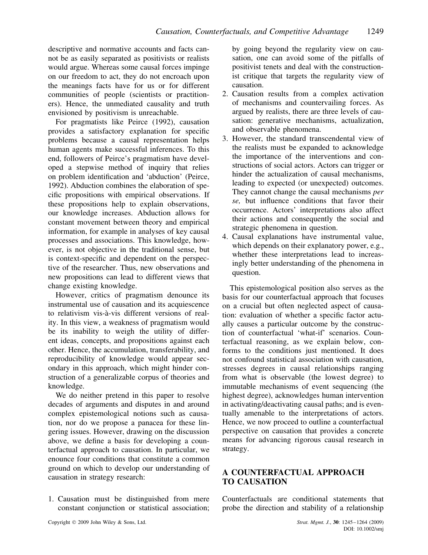descriptive and normative accounts and facts cannot be as easily separated as positivists or realists would argue. Whereas some causal forces impinge on our freedom to act, they do not encroach upon the meanings facts have for us or for different communities of people (scientists or practitioners). Hence, the unmediated causality and truth envisioned by positivism is unreachable.

For pragmatists like Peirce (1992), causation provides a satisfactory explanation for specific problems because a causal representation helps human agents make successful inferences. To this end, followers of Peirce's pragmatism have developed a stepwise method of inquiry that relies on problem identification and 'abduction' (Peirce, 1992). Abduction combines the elaboration of specific propositions with empirical observations. If these propositions help to explain observations, our knowledge increases. Abduction allows for constant movement between theory and empirical information, for example in analyses of key causal processes and associations. This knowledge, however, is not objective in the traditional sense, but is context-specific and dependent on the perspective of the researcher. Thus, new observations and new propositions can lead to different views that change existing knowledge.

However, critics of pragmatism denounce its instrumental use of causation and its acquiescence to relativism vis-à-vis different versions of reality. In this view, a weakness of pragmatism would be its inability to weigh the utility of different ideas, concepts, and propositions against each other. Hence, the accumulation, transferability, and reproducibility of knowledge would appear secondary in this approach, which might hinder construction of a generalizable corpus of theories and knowledge.

We do neither pretend in this paper to resolve decades of arguments and disputes in and around complex epistemological notions such as causation, nor do we propose a panacea for these lingering issues. However, drawing on the discussion above, we define a basis for developing a counterfactual approach to causation. In particular, we enounce four conditions that constitute a common ground on which to develop our understanding of causation in strategy research:

1. Causation must be distinguished from mere constant conjunction or statistical association; by going beyond the regularity view on causation, one can avoid some of the pitfalls of positivist tenets and deal with the constructionist critique that targets the regularity view of causation.

- 2. Causation results from a complex activation of mechanisms and countervailing forces. As argued by realists, there are three levels of causation: generative mechanisms, actualization, and observable phenomena.
- 3. However, the standard transcendental view of the realists must be expanded to acknowledge the importance of the interventions and constructions of social actors. Actors can trigger or hinder the actualization of causal mechanisms, leading to expected (or unexpected) outcomes. They cannot change the causal mechanisms *per se,* but influence conditions that favor their occurrence. Actors' interpretations also affect their actions and consequently the social and strategic phenomena in question.
- 4. Causal explanations have instrumental value, which depends on their explanatory power, e.g., whether these interpretations lead to increasingly better understanding of the phenomena in question.

This epistemological position also serves as the basis for our counterfactual approach that focuses on a crucial but often neglected aspect of causation: evaluation of whether a specific factor actually causes a particular outcome by the construction of counterfactual 'what-if' scenarios. Counterfactual reasoning, as we explain below, conforms to the conditions just mentioned. It does not confound statistical association with causation, stresses degrees in causal relationships ranging from what is observable (the lowest degree) to immutable mechanisms of event sequencing (the highest degree), acknowledges human intervention in activating/deactivating causal paths; and is eventually amenable to the interpretations of actors. Hence, we now proceed to outline a counterfactual perspective on causation that provides a concrete means for advancing rigorous causal research in strategy.

# **A COUNTERFACTUAL APPROACH TO CAUSATION**

Counterfactuals are conditional statements that probe the direction and stability of a relationship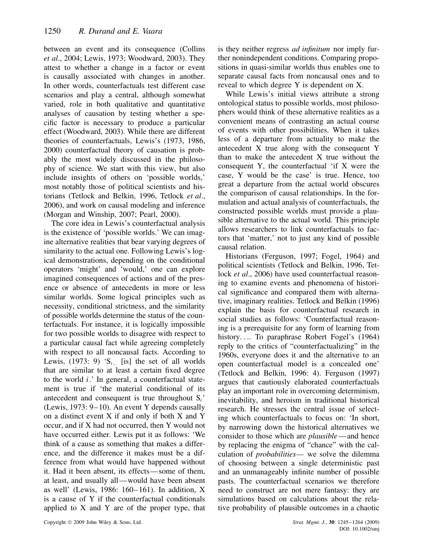between an event and its consequence (Collins *et al*., 2004; Lewis, 1973; Woodward, 2003). They attest to whether a change in a factor or event is causally associated with changes in another. In other words, counterfactuals test different case scenarios and play a central, although somewhat varied, role in both qualitative and quantitative analyses of causation by testing whether a specific factor is necessary to produce a particular effect (Woodward, 2003). While there are different theories of counterfactuals, Lewis's (1973, 1986, 2000) counterfactual theory of causation is probably the most widely discussed in the philosophy of science. We start with this view, but also include insights of others on 'possible worlds,' most notably those of political scientists and historians (Tetlock and Belkin, 1996, Tetlock *et al*., 2006), and work on causal modeling and inference (Morgan and Winship, 2007; Pearl, 2000).

The core idea in Lewis's counterfactual analysis is the existence of 'possible worlds.' We can imagine alternative realities that bear varying degrees of similarity to the actual one. Following Lewis's logical demonstrations, depending on the conditional operators 'might' and 'would,' one can explore imagined consequences of actions and of the presence or absence of antecedents in more or less similar worlds. Some logical principles such as necessity, conditional strictness, and the similarity of possible worlds determine the status of the counterfactuals. For instance, it is logically impossible for two possible worlds to disagree with respect to a particular causal fact while agreeing completely with respect to all noncausal facts. According to Lewis,  $(1973: 9)$  'S<sub>*i...*</sub> [is] the set of all worlds that are similar to at least a certain fixed degree to the world *i*.' In general, a counterfactual statement is true if 'the material conditional of its antecedent and consequent is true throughout S*i*' (Lewis, 1973: 9–10). An event Y depends causally on a distinct event X if and only if both X and Y occur, and if X had not occurred, then Y would not have occurred either. Lewis put it as follows: 'We think of a cause as something that makes a difference, and the difference it makes must be a difference from what would have happened without it. Had it been absent, its effects—some of them, at least, and usually all—would have been absent as well' (Lewis, 1986: 160–161). In addition, X is a cause of Y if the counterfactual conditionals applied to  $X$  and  $Y$  are of the proper type, that is they neither regress *ad infinitum* nor imply further nonindependent conditions. Comparing propositions in quasi-similar worlds thus enables one to separate causal facts from noncausal ones and to reveal to which degree Y is dependent on X.

While Lewis's initial views attribute a strong ontological status to possible worlds, most philosophers would think of these alternative realities as a convenient means of contrasting an actual course of events with other possibilities. When it takes less of a departure from actuality to make the antecedent X true along with the consequent Y than to make the antecedent X true without the consequent Y, the counterfactual 'if X were the case, Y would be the case' is true. Hence, too great a departure from the actual world obscures the comparison of causal relationships. In the formulation and actual analysis of counterfactuals, the constructed possible worlds must provide a plausible alternative to the actual world. This principle allows researchers to link counterfactuals to factors that 'matter,' not to just any kind of possible causal relation.

Historians (Ferguson, 1997; Fogel, 1964) and political scientists (Tetlock and Belkin, 1996, Tetlock *et al*., 2006) have used counterfactual reasoning to examine events and phenomena of historical significance and compared them with alternative, imaginary realities. Tetlock and Belkin (1996) explain the basis for counterfactual research in social studies as follows: 'Counterfactual reasoning is a prerequisite for any form of learning from history*...*. To paraphrase Robert Fogel's (1964) reply to the critics of "counterfactualizing" in the 1960s, everyone does it and the alternative to an open counterfactual model is a concealed one' (Tetlock and Belkin, 1996: 4). Ferguson (1997) argues that cautiously elaborated counterfactuals play an important role in overcoming determinism, inevitability, and heroism in traditional historical research. He stresses the central issue of selecting which counterfactuals to focus on: 'In short, by narrowing down the historical alternatives we consider to those which are *plausible*—and hence by replacing the enigma of "chance" with the calculation of *probabilities—* we solve the dilemma of choosing between a single deterministic past and an unmanageably infinite number of possible pasts. The counterfactual scenarios we therefore need to construct are not mere fantasy: they are simulations based on calculations about the relative probability of plausible outcomes in a chaotic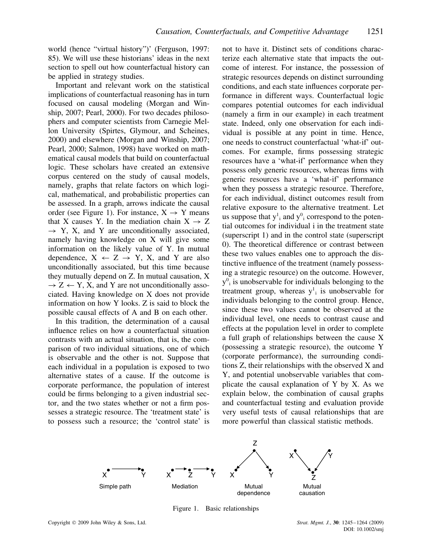world (hence "virtual history")' (Ferguson, 1997: 85). We will use these historians' ideas in the next section to spell out how counterfactual history can be applied in strategy studies.

Important and relevant work on the statistical implications of counterfactual reasoning has in turn focused on causal modeling (Morgan and Winship, 2007; Pearl, 2000). For two decades philosophers and computer scientists from Carnegie Mellon University (Spirtes, Glymour, and Scheines, 2000) and elsewhere (Morgan and Winship, 2007; Pearl, 2000; Salmon, 1998) have worked on mathematical causal models that build on counterfactual logic. These scholars have created an extensive corpus centered on the study of causal models, namely, graphs that relate factors on which logical, mathematical, and probabilistic properties can be assessed. In a graph, arrows indicate the causal order (see Figure 1). For instance,  $X \rightarrow Y$  means that X causes Y. In the mediation chain  $X \rightarrow Z$  $\rightarrow$  Y, X, and Y are unconditionally associated, namely having knowledge on X will give some information on the likely value of Y. In mutual dependence,  $X \leftarrow Z \rightarrow Y$ , X, and Y are also unconditionally associated, but this time because they mutually depend on Z. In mutual causation, X  $\rightarrow$  Z  $\leftarrow$  Y, X, and Y are not unconditionally associated. Having knowledge on X does not provide information on how Y looks. Z is said to block the possible causal effects of A and B on each other.

In this tradition, the determination of a causal influence relies on how a counterfactual situation contrasts with an actual situation, that is, the comparison of two individual situations, one of which is observable and the other is not. Suppose that each individual in a population is exposed to two alternative states of a cause. If the outcome is corporate performance, the population of interest could be firms belonging to a given industrial sector, and the two states whether or not a firm possesses a strategic resource. The 'treatment state' is to possess such a resource; the 'control state' is not to have it. Distinct sets of conditions characterize each alternative state that impacts the outcome of interest. For instance, the possession of strategic resources depends on distinct surrounding conditions, and each state influences corporate performance in different ways. Counterfactual logic compares potential outcomes for each individual (namely a firm in our example) in each treatment state. Indeed, only one observation for each individual is possible at any point in time. Hence, one needs to construct counterfactual 'what-if' outcomes. For example, firms possessing strategic resources have a 'what-if' performance when they possess only generic resources, whereas firms with generic resources have a 'what-if' performance when they possess a strategic resource. Therefore, for each individual, distinct outcomes result from relative exposure to the alternative treatment. Let us suppose that  $y^1$ <sub>i</sub> and  $y^0$ <sub>i</sub> correspond to the potential outcomes for individual i in the treatment state (superscript 1) and in the control state (superscript 0). The theoretical difference or contrast between these two values enables one to approach the distinctive influence of the treatment (namely possessing a strategic resource) on the outcome. However,  $y^0$ <sub>i</sub> is unobservable for individuals belonging to the treatment group, whereas  $y^1$  is unobservable for individuals belonging to the control group. Hence, since these two values cannot be observed at the individual level, one needs to contrast cause and effects at the population level in order to complete a full graph of relationships between the cause X (possessing a strategic resource), the outcome Y (corporate performance), the surrounding conditions Z, their relationships with the observed X and Y, and potential unobservable variables that complicate the causal explanation of Y by X. As we explain below, the combination of causal graphs and counterfactual testing and evaluation provide very useful tests of causal relationships that are more powerful than classical statistic methods.



Figure 1. Basic relationships

DOI: 10.1002/smj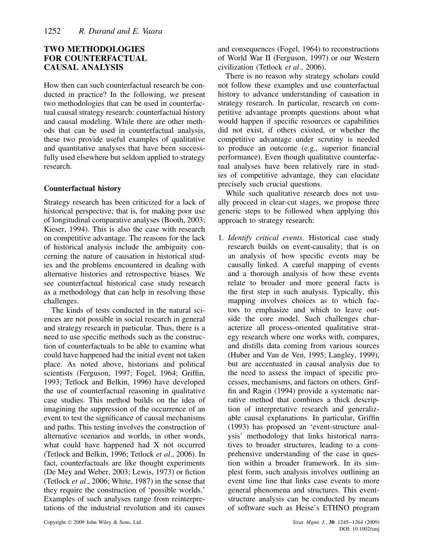# **TWO METHODOLOGIES FOR COUNTERFACTUAL CAUSAL ANALYSIS**

How then can such counterfactual research be conducted in practice? In the following, we present two methodologies that can be used in counterfactual causal strategy research: counterfactual history and causal modeling. While there are other methods that can be used in counterfactual analysis, these two provide useful examples of qualitative and quantitative analyses that have been successfully used elsewhere but seldom applied to strategy research.

#### **Counterfactual history**

Strategy research has been criticized for a lack of historical perspective; that is, for making poor use of longitudinal comparative analyses (Booth, 2003; Kieser, 1994). This is also the case with research on competitive advantage. The reasons for the lack of historical analysis include the ambiguity concerning the nature of causation in historical studies and the problems encountered in dealing with alternative histories and retrospective biases. We see counterfactual historical case study research as a methodology that can help in resolving these challenges.

The kinds of tests conducted in the natural sciences are not possible in social research in general and strategy research in particular. Thus, there is a need to use specific methods such as the construction of counterfactuals to be able to examine what could have happened had the initial event not taken place. As noted above, historians and political scientists (Ferguson, 1997; Fogel, 1964; Griffin, 1993; Tetlock and Belkin, 1996) have developed the use of counterfactual reasoning in qualitative case studies. This method builds on the idea of imagining the suppression of the occurrence of an event to test the significance of causal mechanisms and paths. This testing involves the construction of alternative scenarios and worlds, in other words, what could have happened had X not occurred (Tetlock and Belkin, 1996; Tetlock *et al*., 2006). In fact, counterfactuals are like thought experiments (De Mey and Weber, 2003; Lewis, 1973) or fiction (Tetlock *et al*., 2006; White, 1987) in the sense that they require the construction of 'possible worlds.' Examples of such analyses range from reinterpretations of the industrial revolution and its causes

and consequences (Fogel, 1964) to reconstructions of World War II (Ferguson, 1997) or our Western civilization (Tetlock *et al*., 2006).

There is no reason why strategy scholars could not follow these examples and use counterfactual history to advance understanding of causation in strategy research. In particular, research on competitive advantage prompts questions about what would happen if specific resources or capabilities did not exist, if others existed, or whether the competitive advantage under scrutiny is needed to produce an outcome (e.g., superior financial performance). Even though qualitative counterfactual analyses have been relatively rare in studies of competitive advantage, they can elucidate precisely such crucial questions.

While such qualitative research does not usually proceed in clear-cut stages, we propose three generic steps to be followed when applying this approach to strategy research:

1. *Identify critical events*. Historical case study research builds on event-causality; that is on an analysis of how specific events may be causally linked. A careful mapping of events and a thorough analysis of how these events relate to broader and more general facts is the first step in such analysis. Typically, this mapping involves choices as to which factors to emphasize and which to leave outside the core model. Such challenges characterize all process-oriented qualitative strategy research where one works with, compares, and distills data coming from various sources (Huber and Van de Ven, 1995; Langley, 1999), but are accentuated in causal analysis due to the need to assess the impact of specific processes, mechanisms, and factors on others. Griffin and Ragin (1994) provide a systematic narrative method that combines a thick description of interpretative research and generalizable causal explanations. In particular, Griffin (1993) has proposed an 'event-structure analysis' methodology that links historical narratives to broader structures, leading to a comprehensive understanding of the case in question within a broader framework. In its simplest form, such analysis involves outlining an event time line that links case events to more general phenomena and structures. This eventstructure analysis can be conducted by means of software such as Heise's ETHNO program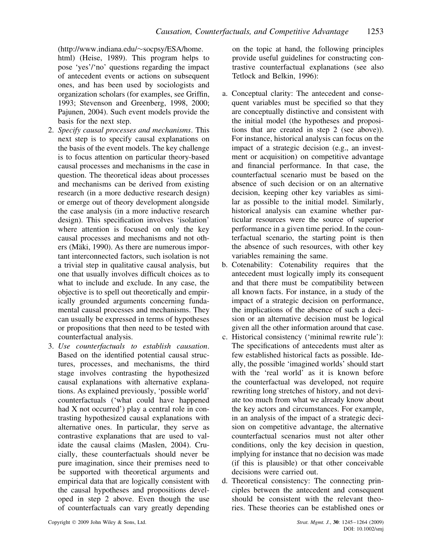(http://www.indiana.edu/∼socpsy/ESA/home. html) (Heise, 1989). This program helps to pose 'yes'/'no' questions regarding the impact of antecedent events or actions on subsequent ones, and has been used by sociologists and organization scholars (for examples, see Griffin, 1993; Stevenson and Greenberg, 1998, 2000; Pajunen, 2004). Such event models provide the basis for the next step.

- 2. *Specify causal processes and mechanisms*. This next step is to specify causal explanations on the basis of the event models. The key challenge is to focus attention on particular theory-based causal processes and mechanisms in the case in question. The theoretical ideas about processes and mechanisms can be derived from existing research (in a more deductive research design) or emerge out of theory development alongside the case analysis (in a more inductive research design). This specification involves 'isolation' where attention is focused on only the key causal processes and mechanisms and not others (Mäki, 1990). As there are numerous important interconnected factors, such isolation is not a trivial step in qualitative causal analysis, but one that usually involves difficult choices as to what to include and exclude. In any case, the objective is to spell out theoretically and empirically grounded arguments concerning fundamental causal processes and mechanisms. They can usually be expressed in terms of hypotheses or propositions that then need to be tested with counterfactual analysis.
- 3. *Use counterfactuals to establish causation*. Based on the identified potential causal structures, processes, and mechanisms, the third stage involves contrasting the hypothesized causal explanations with alternative explanations. As explained previously, 'possible world' counterfactuals ('what could have happened had X not occurred') play a central role in contrasting hypothesized causal explanations with alternative ones. In particular, they serve as contrastive explanations that are used to validate the causal claims (Maslen, 2004). Crucially, these counterfactuals should never be pure imagination, since their premises need to be supported with theoretical arguments and empirical data that are logically consistent with the causal hypotheses and propositions developed in step 2 above. Even though the use of counterfactuals can vary greatly depending

on the topic at hand, the following principles provide useful guidelines for constructing contrastive counterfactual explanations (see also Tetlock and Belkin, 1996):

- a. Conceptual clarity: The antecedent and consequent variables must be specified so that they are conceptually distinctive and consistent with the initial model (the hypotheses and propositions that are created in step 2 (see above)). For instance, historical analysis can focus on the impact of a strategic decision (e.g., an investment or acquisition) on competitive advantage and financial performance. In that case, the counterfactual scenario must be based on the absence of such decision or on an alternative decision, keeping other key variables as similar as possible to the initial model. Similarly, historical analysis can examine whether particular resources were the source of superior performance in a given time period. In the counterfactual scenario, the starting point is then the absence of such resources, with other key variables remaining the same.
- b. Cotenability: Cotenability requires that the antecedent must logically imply its consequent and that there must be compatibility between all known facts. For instance, in a study of the impact of a strategic decision on performance, the implications of the absence of such a decision or an alternative decision must be logical given all the other information around that case.
- c. Historical consistency ('minimal rewrite rule'): The specifications of antecedents must alter as few established historical facts as possible. Ideally, the possible 'imagined worlds' should start with the 'real world' as it is known before the counterfactual was developed, not require rewriting long stretches of history, and not deviate too much from what we already know about the key actors and circumstances. For example, in an analysis of the impact of a strategic decision on competitive advantage, the alternative counterfactual scenarios must not alter other conditions, only the key decision in question, implying for instance that no decision was made (if this is plausible) or that other conceivable decisions were carried out.
- d. Theoretical consistency: The connecting principles between the antecedent and consequent should be consistent with the relevant theories. These theories can be established ones or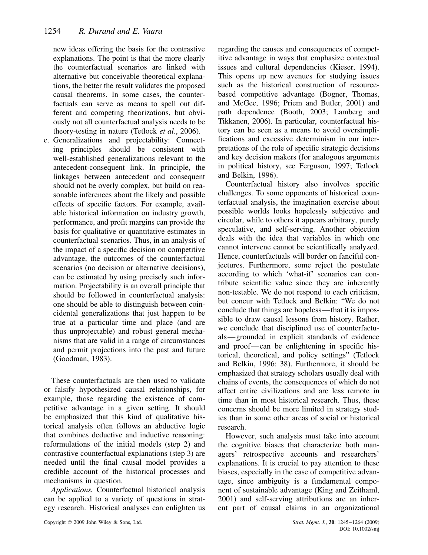new ideas offering the basis for the contrastive explanations. The point is that the more clearly the counterfactual scenarios are linked with alternative but conceivable theoretical explanations, the better the result validates the proposed causal theorems. In some cases, the counterfactuals can serve as means to spell out different and competing theorizations, but obviously not all counterfactual analysis needs to be theory-testing in nature (Tetlock *et al*., 2006).

e. Generalizations and projectability: Connecting principles should be consistent with well-established generalizations relevant to the antecedent-consequent link. In principle, the linkages between antecedent and consequent should not be overly complex, but build on reasonable inferences about the likely and possible effects of specific factors. For example, available historical information on industry growth, performance, and profit margins can provide the basis for qualitative or quantitative estimates in counterfactual scenarios. Thus, in an analysis of the impact of a specific decision on competitive advantage, the outcomes of the counterfactual scenarios (no decision or alternative decisions), can be estimated by using precisely such information. Projectability is an overall principle that should be followed in counterfactual analysis: one should be able to distinguish between coincidental generalizations that just happen to be true at a particular time and place (and are thus unprojectable) and robust general mechanisms that are valid in a range of circumstances and permit projections into the past and future (Goodman, 1983).

These counterfactuals are then used to validate or falsify hypothesized causal relationships, for example, those regarding the existence of competitive advantage in a given setting. It should be emphasized that this kind of qualitative historical analysis often follows an abductive logic that combines deductive and inductive reasoning: reformulations of the initial models (step 2) and contrastive counterfactual explanations (step 3) are needed until the final causal model provides a credible account of the historical processes and mechanisms in question.

*Applications.* Counterfactual historical analysis can be applied to a variety of questions in strategy research. Historical analyses can enlighten us regarding the causes and consequences of competitive advantage in ways that emphasize contextual issues and cultural dependencies (Kieser, 1994). This opens up new avenues for studying issues such as the historical construction of resourcebased competitive advantage (Bogner, Thomas, and McGee, 1996; Priem and Butler, 2001) and path dependence (Booth, 2003; Lamberg and Tikkanen, 2006). In particular, counterfactual history can be seen as a means to avoid oversimplifications and excessive determinism in our interpretations of the role of specific strategic decisions and key decision makers (for analogous arguments in political history, see Ferguson, 1997; Tetlock and Belkin, 1996).

Counterfactual history also involves specific challenges. To some opponents of historical counterfactual analysis, the imagination exercise about possible worlds looks hopelessly subjective and circular, while to others it appears arbitrary, purely speculative, and self-serving. Another objection deals with the idea that variables in which one cannot intervene cannot be scientifically analyzed. Hence, counterfactuals will border on fanciful conjectures. Furthermore, some reject the postulate according to which 'what-if' scenarios can contribute scientific value since they are inherently non-testable. We do not respond to each criticism, but concur with Tetlock and Belkin: "We do not conclude that things are hopeless—that it is impossible to draw causal lessons from history. Rather, we conclude that disciplined use of counterfactuals—grounded in explicit standards of evidence and proof—can be enlightening in specific historical, theoretical, and policy settings" (Tetlock and Belkin, 1996: 38). Furthermore, it should be emphasized that strategy scholars usually deal with chains of events, the consequences of which do not affect entire civilizations and are less remote in time than in most historical research. Thus, these concerns should be more limited in strategy studies than in some other areas of social or historical research.

However, such analysis must take into account the cognitive biases that characterize both managers' retrospective accounts and researchers' explanations. It is crucial to pay attention to these biases, especially in the case of competitive advantage, since ambiguity is a fundamental component of sustainable advantage (King and Zeithaml, 2001) and self-serving attributions are an inherent part of causal claims in an organizational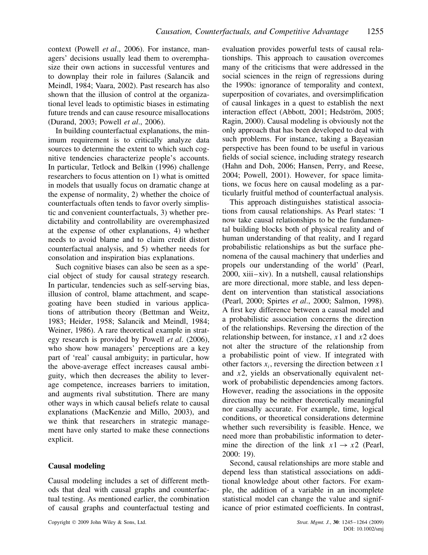context (Powell *et al*., 2006). For instance, managers' decisions usually lead them to overemphasize their own actions in successful ventures and to downplay their role in failures (Salancik and Meindl, 1984; Vaara, 2002). Past research has also shown that the illusion of control at the organizational level leads to optimistic biases in estimating future trends and can cause resource misallocations (Durand, 2003; Powell *et al*., 2006).

In building counterfactual explanations, the minimum requirement is to critically analyze data sources to determine the extent to which such cognitive tendencies characterize people's accounts. In particular, Tetlock and Belkin (1996) challenge researchers to focus attention on 1) what is omitted in models that usually focus on dramatic change at the expense of normality, 2) whether the choice of counterfactuals often tends to favor overly simplistic and convenient counterfactuals, 3) whether predictability and controllability are overemphasized at the expense of other explanations, 4) whether needs to avoid blame and to claim credit distort counterfactual analysis, and 5) whether needs for consolation and inspiration bias explanations.

Such cognitive biases can also be seen as a special object of study for causal strategy research. In particular, tendencies such as self-serving bias, illusion of control, blame attachment, and scapegoating have been studied in various applications of attribution theory (Bettman and Weitz, 1983; Heider, 1958; Salancik and Meindl, 1984; Weiner, 1986). A rare theoretical example in strategy research is provided by Powell *et al*. (2006), who show how managers' perceptions are a key part of 'real' causal ambiguity; in particular, how the above-average effect increases causal ambiguity, which then decreases the ability to leverage competence, increases barriers to imitation, and augments rival substitution. There are many other ways in which causal beliefs relate to causal explanations (MacKenzie and Millo, 2003), and we think that researchers in strategic management have only started to make these connections explicit.

#### **Causal modeling**

Causal modeling includes a set of different methods that deal with causal graphs and counterfactual testing. As mentioned earlier, the combination of causal graphs and counterfactual testing and

Copyright 2009 John Wiley & Sons, Ltd. *Strat. Mgmt. J.*, **30**: 1245–1264 (2009)

evaluation provides powerful tests of causal relationships. This approach to causation overcomes many of the criticisms that were addressed in the social sciences in the reign of regressions during the 1990s: ignorance of temporality and context, superposition of covariates, and oversimplification of causal linkages in a quest to establish the next interaction effect (Abbott, 2001; Hedström, 2005; Ragin, 2000). Causal modeling is obviously not the only approach that has been developed to deal with such problems. For instance, taking a Bayeasian perspective has been found to be useful in various fields of social science, including strategy research (Hahn and Doh, 2006; Hansen, Perry, and Reese, 2004; Powell, 2001). However, for space limitations, we focus here on causal modeling as a particularly fruitful method of counterfactual analysis.

This approach distinguishes statistical associations from causal relationships. As Pearl states: 'I now take causal relationships to be the fundamental building blocks both of physical reality and of human understanding of that reality, and I regard probabilistic relationships as but the surface phenomena of the causal machinery that underlies and propels our understanding of the world' (Pearl, 2000, xiii–xiv). In a nutshell, causal relationships are more directional, more stable, and less dependent on intervention than statistical associations (Pearl, 2000; Spirtes *et al*., 2000; Salmon, 1998). A first key difference between a causal model and a probabilistic association concerns the direction of the relationships. Reversing the direction of the relationship between, for instance, *x*1 and *x*2 does not alter the structure of the relationship from a probabilistic point of view. If integrated with other factors  $x_i$ , reversing the direction between  $x_1$ and *x*2, yields an observationally equivalent network of probabilistic dependencies among factors. However, reading the associations in the opposite direction may be neither theoretically meaningful nor causally accurate. For example, time, logical conditions, or theoretical considerations determine whether such reversibility is feasible. Hence, we need more than probabilistic information to determine the direction of the link  $x1 \rightarrow x2$  (Pearl, 2000: 19).

Second, causal relationships are more stable and depend less than statistical associations on additional knowledge about other factors. For example, the addition of a variable in an incomplete statistical model can change the value and significance of prior estimated coefficients. In contrast,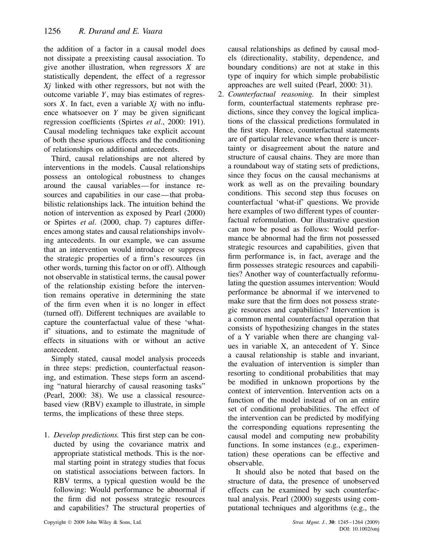the addition of a factor in a causal model does not dissipate a preexisting causal association. To give another illustration, when regressors *X* are statistically dependent, the effect of a regressor *Xj* linked with other regressors, but not with the outcome variable *Y*, may bias estimates of regressors *X*. In fact, even a variable *Xj* with no influence whatsoever on *Y* may be given significant regression coefficients (Spirtes *et al*., 2000: 191). Causal modeling techniques take explicit account of both these spurious effects and the conditioning of relationships on additional antecedents.

Third, causal relationships are not altered by interventions in the models. Causal relationships possess an ontological robustness to changes around the causal variables—for instance resources and capabilities in our case—that probabilistic relationships lack. The intuition behind the notion of intervention as exposed by Pearl (2000) or Spirtes *et al*. (2000, chap. 7) captures differences among states and causal relationships involving antecedents. In our example, we can assume that an intervention would introduce or suppress the strategic properties of a firm's resources (in other words, turning this factor on or off). Although not observable in statistical terms, the causal power of the relationship existing before the intervention remains operative in determining the state of the firm even when it is no longer in effect (turned off). Different techniques are available to capture the counterfactual value of these 'whatif' situations, and to estimate the magnitude of effects in situations with or without an active antecedent.

Simply stated, causal model analysis proceeds in three steps: prediction, counterfactual reasoning, and estimation. These steps form an ascending "natural hierarchy of causal reasoning tasks" (Pearl, 2000: 38). We use a classical resourcebased view (RBV) example to illustrate, in simple terms, the implications of these three steps.

1. *Develop predictions.* This first step can be conducted by using the covariance matrix and appropriate statistical methods. This is the normal starting point in strategy studies that focus on statistical associations between factors. In RBV terms, a typical question would be the following: Would performance be abnormal if the firm did not possess strategic resources and capabilities? The structural properties of causal relationships as defined by causal models (directionality, stability, dependence, and boundary conditions) are not at stake in this type of inquiry for which simple probabilistic approaches are well suited (Pearl, 2000: 31).

2. *Counterfactual reasoning.* In their simplest form, counterfactual statements rephrase predictions, since they convey the logical implications of the classical predictions formulated in the first step. Hence, counterfactual statements are of particular relevance when there is uncertainty or disagreement about the nature and structure of causal chains. They are more than a roundabout way of stating sets of predictions, since they focus on the causal mechanisms at work as well as on the prevailing boundary conditions. This second step thus focuses on counterfactual 'what-if' questions. We provide here examples of two different types of counterfactual reformulation. Our illustrative question can now be posed as follows: Would performance be abnormal had the firm not possessed strategic resources and capabilities, given that firm performance is, in fact, average and the firm possesses strategic resources and capabilities? Another way of counterfactually reformulating the question assumes intervention: Would performance be abnormal if we intervened to make sure that the firm does not possess strategic resources and capabilities? Intervention is a common mental counterfactual operation that consists of hypothesizing changes in the states of a Y variable when there are changing values in variable X, an antecedent of Y. Since a causal relationship is stable and invariant, the evaluation of intervention is simpler than resorting to conditional probabilities that may be modified in unknown proportions by the context of intervention. Intervention acts on a function of the model instead of on an entire set of conditional probabilities. The effect of the intervention can be predicted by modifying the corresponding equations representing the causal model and computing new probability functions. In some instances (e.g., experimentation) these operations can be effective and observable.

It should also be noted that based on the structure of data, the presence of unobserved effects can be examined by such counterfactual analysis. Pearl (2000) suggests using computational techniques and algorithms (e.g., the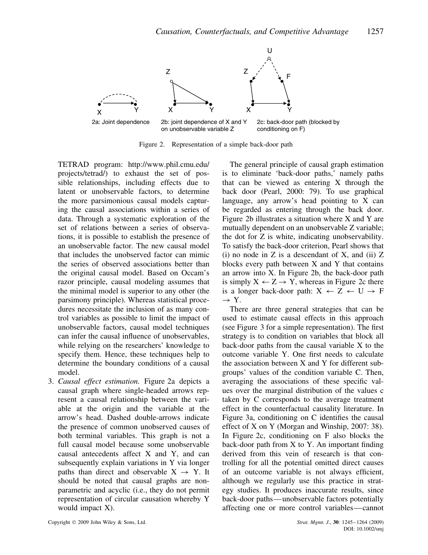

Figure 2. Representation of a simple back-door path

TETRAD program: http://www.phil.cmu.edu/ projects/tetrad/) to exhaust the set of possible relationships, including effects due to latent or unobservable factors, to determine the more parsimonious causal models capturing the causal associations within a series of data. Through a systematic exploration of the set of relations between a series of observations, it is possible to establish the presence of an unobservable factor. The new causal model that includes the unobserved factor can mimic the series of observed associations better than the original causal model. Based on Occam's razor principle, causal modeling assumes that the minimal model is superior to any other (the parsimony principle). Whereas statistical procedures necessitate the inclusion of as many control variables as possible to limit the impact of unobservable factors, causal model techniques can infer the causal influence of unobservables, while relying on the researchers' knowledge to specify them. Hence, these techniques help to determine the boundary conditions of a causal model.

3. *Causal effect estimation.* Figure 2a depicts a causal graph where single-headed arrows represent a causal relationship between the variable at the origin and the variable at the arrow's head. Dashed double-arrows indicate the presence of common unobserved causes of both terminal variables. This graph is not a full causal model because some unobservable causal antecedents affect X and Y, and can subsequently explain variations in Y via longer paths than direct and observable  $X \rightarrow Y$ . It should be noted that causal graphs are nonparametric and acyclic (i.e., they do not permit representation of circular causation whereby Y would impact X).

The general principle of causal graph estimation is to eliminate 'back-door paths,' namely paths that can be viewed as entering X through the back door (Pearl, 2000: 79). To use graphical language, any arrow's head pointing to X can be regarded as entering through the back door. Figure 2b illustrates a situation where X and Y are mutually dependent on an unobservable Z variable; the dot for Z is white, indicating unobservability. To satisfy the back-door criterion, Pearl shows that  $(i)$  no node in Z is a descendant of X, and  $(ii)$  Z blocks every path between X and Y that contains an arrow into X. In Figure 2b, the back-door path is simply  $X \leftarrow Z \rightarrow Y$ , whereas in Figure 2c there is a longer back-door path:  $X \leftarrow Z \leftarrow U \rightarrow F$  $\rightarrow$  Y.

There are three general strategies that can be used to estimate causal effects in this approach (see Figure 3 for a simple representation). The first strategy is to condition on variables that block all back-door paths from the causal variable X to the outcome variable Y. One first needs to calculate the association between X and Y for different subgroups' values of the condition variable C. Then, averaging the associations of these specific values over the marginal distribution of the values c taken by C corresponds to the average treatment effect in the counterfactual causality literature. In Figure 3a, conditioning on C identifies the causal effect of X on Y (Morgan and Winship, 2007: 38). In Figure 2c, conditioning on F also blocks the back-door path from  $X$  to  $Y$ . An important finding derived from this vein of research is that controlling for all the potential omitted direct causes of an outcome variable is not always efficient, although we regularly use this practice in strategy studies. It produces inaccurate results, since back-door paths—unobservable factors potentially affecting one or more control variables—cannot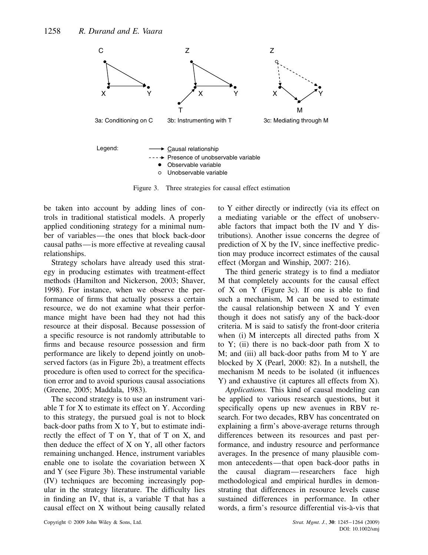

Figure 3. Three strategies for causal effect estimation

be taken into account by adding lines of controls in traditional statistical models. A properly applied conditioning strategy for a minimal number of variables—the ones that block back-door causal paths—is more effective at revealing causal relationships.

Strategy scholars have already used this strategy in producing estimates with treatment-effect methods (Hamilton and Nickerson, 2003; Shaver, 1998). For instance, when we observe the performance of firms that actually possess a certain resource, we do not examine what their performance might have been had they not had this resource at their disposal. Because possession of a specific resource is not randomly attributable to firms and because resource possession and firm performance are likely to depend jointly on unobserved factors (as in Figure 2b), a treatment effects procedure is often used to correct for the specification error and to avoid spurious causal associations (Greene, 2005; Maddala, 1983).

The second strategy is to use an instrument variable T for X to estimate its effect on Y. According to this strategy, the pursued goal is not to block back-door paths from X to Y, but to estimate indirectly the effect of T on Y, that of T on X, and then deduce the effect of  $X$  on  $Y$ , all other factors remaining unchanged. Hence, instrument variables enable one to isolate the covariation between X and Y (see Figure 3b). These instrumental variable (IV) techniques are becoming increasingly popular in the strategy literature. The difficulty lies in finding an IV, that is, a variable T that has a causal effect on X without being causally related to Y either directly or indirectly (via its effect on a mediating variable or the effect of unobservable factors that impact both the IV and Y distributions). Another issue concerns the degree of prediction of X by the IV, since ineffective prediction may produce incorrect estimates of the causal effect (Morgan and Winship, 2007: 216).

The third generic strategy is to find a mediator M that completely accounts for the causal effect of  $X$  on  $Y$  (Figure 3c). If one is able to find such a mechanism, M can be used to estimate the causal relationship between X and Y even though it does not satisfy any of the back-door criteria. M is said to satisfy the front-door criteria when (i) M intercepts all directed paths from X to  $Y$ ; (ii) there is no back-door path from  $X$  to M; and (iii) all back-door paths from M to Y are blocked by X (Pearl, 2000: 82). In a nutshell, the mechanism M needs to be isolated (it influences Y) and exhaustive (it captures all effects from X).

*Applications.* This kind of causal modeling can be applied to various research questions, but it specifically opens up new avenues in RBV research. For two decades, RBV has concentrated on explaining a firm's above-average returns through differences between its resources and past performance, and industry resource and performance averages. In the presence of many plausible common antecedents—that open back-door paths in the causal diagram—researchers face high methodological and empirical hurdles in demonstrating that differences in resource levels cause sustained differences in performance. In other words, a firm's resource differential vis-à-vis that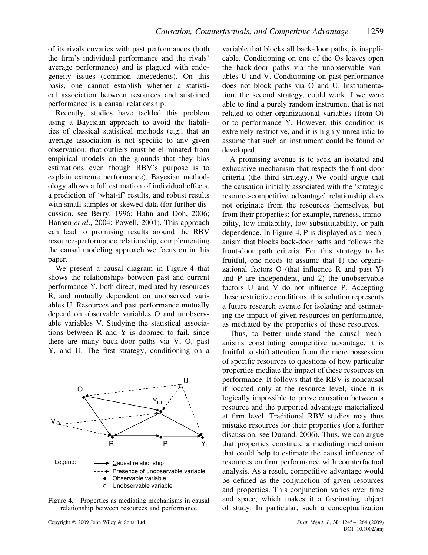of its rivals covaries with past performances (both the firm's individual performance and the rivals' average performance) and is plagued with endogeneity issues (common antecedents). On this basis, one cannot establish whether a statistical association between resources and sustained performance is a causal relationship.

Recently, studies have tackled this problem using a Bayesian approach to avoid the liabilities of classical statistical methods (e.g., that an average association is not specific to any given observation; that outliers must be eliminated from empirical models on the grounds that they bias estimations even though RBV's purpose is to explain extreme performance). Bayesian methodology allows a full estimation of individual effects, a prediction of 'what-if' results, and robust results with small samples or skewed data (for further discussion, see Berry, 1996; Hahn and Doh, 2006; Hansen *et al*., 2004; Powell, 2001). This approach can lead to promising results around the RBV resource-performance relationship, complementing the causal modeling approach we focus on in this paper.

We present a causal diagram in Figure 4 that shows the relationships between past and current performance Y, both direct, mediated by resources R, and mutually dependent on unobserved variables U. Resources and past performance mutually depend on observable variables O and unobservable variables V. Studying the statistical associations between R and Y is doomed to fail, since there are many back-door paths via V, O, past Y, and U. The first strategy, conditioning on a





variable that blocks all back-door paths, is inapplicable. Conditioning on one of the Os leaves open the back-door paths via the unobservable variables U and V. Conditioning on past performance does not block paths via O and U. Instrumentation, the second strategy, could work if we were able to find a purely random instrument that is not related to other organizational variables (from O) or to performance Y. However, this condition is extremely restrictive, and it is highly unrealistic to assume that such an instrument could be found or developed.

A promising avenue is to seek an isolated and exhaustive mechanism that respects the front-door criteria (the third strategy.) We could argue that the causation initially associated with the 'strategic resource-competitive advantage' relationship does not originate from the resources themselves, but from their properties: for example, rareness, immobility, low imitability, low substitutability, or path dependence. In Figure 4, P is displayed as a mechanism that blocks back-door paths and follows the front-door path criteria. For this strategy to be fruitful, one needs to assume that 1) the organizational factors O (that influence R and past Y) and P are independent, and 2) the unobservable factors U and V do not influence P. Accepting these restrictive conditions, this solution represents a future research avenue for isolating and estimating the impact of given resources on performance, as mediated by the properties of these resources.

Thus, to better understand the causal mechanisms constituting competitive advantage, it is fruitful to shift attention from the mere possession of specific resources to questions of how particular properties mediate the impact of these resources on performance. It follows that the RBV is noncausal if located only at the resource level, since it is logically impossible to prove causation between a resource and the purported advantage materialized at firm level. Traditional RBV studies may thus mistake resources for their properties (for a further discussion, see Durand, 2006). Thus, we can argue that properties constitute a mediating mechanism that could help to estimate the causal influence of resources on firm performance with counterfactual analysis. As a result, competitive advantage would be defined as the conjunction of given resources and properties. This conjunction varies over time and space, which makes it a fascinating object of study. In particular, such a conceptualization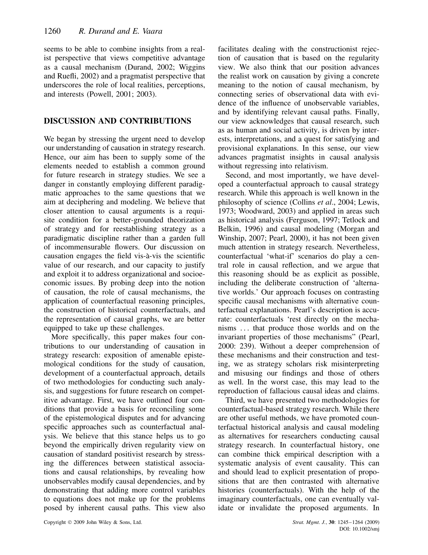seems to be able to combine insights from a realist perspective that views competitive advantage as a causal mechanism (Durand, 2002; Wiggins and Ruefli, 2002) and a pragmatist perspective that underscores the role of local realities, perceptions, and interests (Powell, 2001; 2003).

### **DISCUSSION AND CONTRIBUTIONS**

We began by stressing the urgent need to develop our understanding of causation in strategy research. Hence, our aim has been to supply some of the elements needed to establish a common ground for future research in strategy studies. We see a danger in constantly employing different paradigmatic approaches to the same questions that we aim at deciphering and modeling. We believe that closer attention to causal arguments is a requisite condition for a better-grounded theorization of strategy and for reestablishing strategy as a paradigmatic discipline rather than a garden full of incommensurable flowers. Our discussion on causation engages the field vis-a-vis the scientific ` value of our research, and our capacity to justify and exploit it to address organizational and socioeconomic issues. By probing deep into the notion of causation, the role of causal mechanisms, the application of counterfactual reasoning principles, the construction of historical counterfactuals, and the representation of causal graphs, we are better equipped to take up these challenges.

More specifically, this paper makes four contributions to our understanding of causation in strategy research: exposition of amenable epistemological conditions for the study of causation, development of a counterfactual approach, details of two methodologies for conducting such analysis, and suggestions for future research on competitive advantage. First, we have outlined four conditions that provide a basis for reconciling some of the epistemological disputes and for advancing specific approaches such as counterfactual analysis. We believe that this stance helps us to go beyond the empirically driven regularity view on causation of standard positivist research by stressing the differences between statistical associations and causal relationships, by revealing how unobservables modify causal dependencies, and by demonstrating that adding more control variables to equations does not make up for the problems posed by inherent causal paths. This view also facilitates dealing with the constructionist rejection of causation that is based on the regularity view. We also think that our position advances the realist work on causation by giving a concrete meaning to the notion of causal mechanism, by connecting series of observational data with evidence of the influence of unobservable variables, and by identifying relevant causal paths. Finally, our view acknowledges that causal research, such as as human and social activity, is driven by interests, interpretations, and a quest for satisfying and provisional explanations. In this sense, our view advances pragmatist insights in causal analysis without regressing into relativism.

Second, and most importantly, we have developed a counterfactual approach to causal strategy research. While this approach is well known in the philosophy of science (Collins *et al*., 2004; Lewis, 1973; Woodward, 2003) and applied in areas such as historical analysis (Ferguson, 1997; Tetlock and Belkin, 1996) and causal modeling (Morgan and Winship, 2007; Pearl, 2000), it has not been given much attention in strategy research. Nevertheless, counterfactual 'what-if' scenarios do play a central role in causal reflection, and we argue that this reasoning should be as explicit as possible, including the deliberate construction of 'alternative worlds.' Our approach focuses on contrasting specific causal mechanisms with alternative counterfactual explanations. Pearl's description is accurate: counterfactuals 'rest directly on the mechanisms *...* that produce those worlds and on the invariant properties of those mechanisms" (Pearl, 2000: 239). Without a deeper comprehension of these mechanisms and their construction and testing, we as strategy scholars risk misinterpreting and misusing our findings and those of others as well. In the worst case, this may lead to the reproduction of fallacious causal ideas and claims.

Third, we have presented two methodologies for counterfactual-based strategy research. While there are other useful methods, we have promoted counterfactual historical analysis and causal modeling as alternatives for researchers conducting causal strategy research. In counterfactual history, one can combine thick empirical description with a systematic analysis of event causality. This can and should lead to explicit presentation of propositions that are then contrasted with alternative histories (counterfactuals). With the help of the imaginary counterfactuals, one can eventually validate or invalidate the proposed arguments. In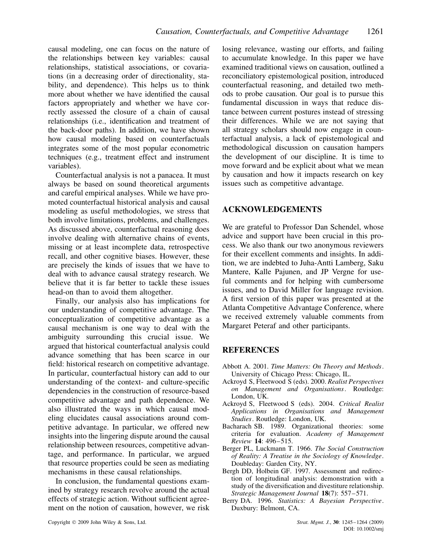causal modeling, one can focus on the nature of the relationships between key variables: causal relationships, statistical associations, or covariations (in a decreasing order of directionality, stability, and dependence). This helps us to think more about whether we have identified the causal factors appropriately and whether we have correctly assessed the closure of a chain of causal relationships (i.e., identification and treatment of the back-door paths). In addition, we have shown how causal modeling based on counterfactuals integrates some of the most popular econometric techniques (e.g., treatment effect and instrument variables).

Counterfactual analysis is not a panacea. It must always be based on sound theoretical arguments and careful empirical analyses. While we have promoted counterfactual historical analysis and causal modeling as useful methodologies, we stress that both involve limitations, problems, and challenges. As discussed above, counterfactual reasoning does involve dealing with alternative chains of events, missing or at least incomplete data, retrospective recall, and other cognitive biases. However, these are precisely the kinds of issues that we have to deal with to advance causal strategy research. We believe that it is far better to tackle these issues head-on than to avoid them altogether.

Finally, our analysis also has implications for our understanding of competitive advantage. The conceptualization of competitive advantage as a causal mechanism is one way to deal with the ambiguity surrounding this crucial issue. We argued that historical counterfactual analysis could advance something that has been scarce in our field: historical research on competitive advantage. In particular, counterfactual history can add to our understanding of the context- and culture-specific dependencies in the construction of resource-based competitive advantage and path dependence. We also illustrated the ways in which causal modeling elucidates causal associations around competitive advantage. In particular, we offered new insights into the lingering dispute around the causal relationship between resources, competitive advantage, and performance. In particular, we argued that resource properties could be seen as mediating mechanisms in these causal relationships.

In conclusion, the fundamental questions examined by strategy research revolve around the actual effects of strategic action. Without sufficient agreement on the notion of causation, however, we risk losing relevance, wasting our efforts, and failing to accumulate knowledge. In this paper we have examined traditional views on causation, outlined a reconciliatory epistemological position, introduced counterfactual reasoning, and detailed two methods to probe causation. Our goal is to pursue this fundamental discussion in ways that reduce distance between current postures instead of stressing their differences. While we are not saying that all strategy scholars should now engage in counterfactual analysis, a lack of epistemological and methodological discussion on causation hampers the development of our discipline. It is time to move forward and be explicit about what we mean by causation and how it impacts research on key issues such as competitive advantage.

# **ACKNOWLEDGEMENTS**

We are grateful to Professor Dan Schendel, whose advice and support have been crucial in this process. We also thank our two anonymous reviewers for their excellent comments and insights. In addition, we are indebted to Juha-Antti Lamberg, Saku Mantere, Kalle Pajunen, and JP Vergne for useful comments and for helping with cumbersome issues, and to David Miller for language revision. A first version of this paper was presented at the Atlanta Competitive Advantage Conference, where we received extremely valuable comments from Margaret Peteraf and other participants.

# **REFERENCES**

- Abbott A. 2001. *Time Matters: On Theory and Methods*. University of Chicago Press: Chicago, IL.
- Ackroyd S, Fleetwood S (eds). 2000. *Realist Perspectives on Management and Organisations*. Routledge: London, UK.
- Ackroyd S, Fleetwood S (eds). 2004. *Critical Realist Applications in Organisations and Management Studies*. Routledge: London, UK.
- Bacharach SB. 1989. Organizational theories: some criteria for evaluation. *Academy of Management Review* **14**: 496–515.
- Berger PL, Luckmann T. 1966. *The Social Construction of Reality: A Treatise in the Sociology of Knowledge*. Doubleday: Garden City, NY.
- Bergh DD, Holbein GF. 1997. Assessment and redirection of longitudinal analysis: demonstration with a study of the diversification and divestiture relationship. *Strategic Management Journal* **18**(7): 557–571.
- Berry DA. 1996. *Statistics: A Bayesian Perspective*. Duxbury: Belmont, CA.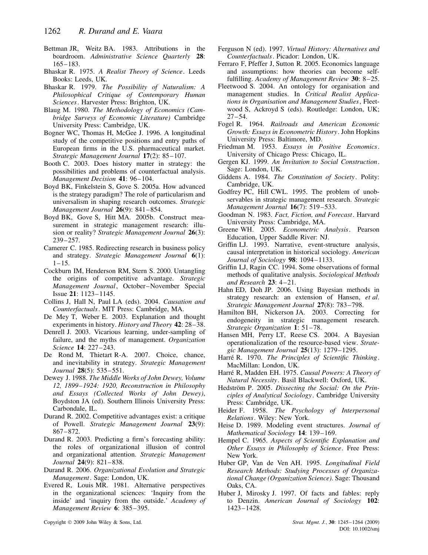- Bettman JR, Weitz BA. 1983. Attributions in the boardroom. *Administrative Science Quarterly* **28**: 165–183.
- Bhaskar R. 1975. *A Realist Theory of Science*. Leeds Books: Leeds, UK.
- Bhaskar R. 1979. *The Possibility of Naturalism: A Philosophical Critique of Contemporary Human Sciences*. Harvester Press: Brighton, UK.
- Blaug M. 1980. *The Methodology of Economics (Cambridge Surveys of Economic Literature)* Cambridge University Press: Cambridge, UK.
- Bogner WC, Thomas H, McGee J. 1996. A longitudinal study of the competitive positions and entry paths of European firms in the U.S. pharmaceutical market. *Strategic Management Journal* **17**(2): 85–107.
- Booth C. 2003. Does history matter in strategy: the possibilities and problems of counterfactual analysis. *Management Decision* **41**: 96–104.
- Boyd BK, Finkelstein S, Gove S. 2005a. How advanced is the strategy paradigm? The role of particularism and universalism in shaping research outcomes. *Strategic Management Journal* **26**(9): 841–854.
- Boyd BK, Gove S, Hitt MA. 2005b. Construct measurement in strategic management research: illusion or reality? *Strategic Management Journal* **26**(3): 239–257.
- Camerer C. 1985. Redirecting research in business policy and strategy. *Strategic Management Journal* **6**(1):  $1 - 15$ .
- Cockburn IM, Henderson RM, Stern S. 2000. Untangling the origins of competitive advantage. *Strategic Management Journal*, October–November Special Issue **21**: 1123–1145.
- Collins J, Hall N, Paul LA (eds). 2004. *Causation and Counterfactuals*. MIT Press: Cambridge, MA.
- De Mey T, Weber E. 2003. Explanation and thought experiments in history. *History and Theory* **42**: 28–38.
- Denrell J. 2003. Vicarious learning, under-sampling of failure, and the myths of management. *Organization Science* **14**: 227–243.
- De Rond M, Thietart R-A. 2007. Choice, chance, and inevitability in strategy. *Strategic Management Journal* **28**(5): 535–551.
- Dewey J. 1988. *The Middle Works of John Dewey, Volume 12, 1899–1924: 1920, Reconstruction in Philosophy and Essays (Collected Works of John Dewey)*, Boydston JA (ed). Southern Illinois University Press: Carbondale, IL.
- Durand R. 2002. Competitive advantages exist: a critique of Powell. *Strategic Management Journal* **23**(9): 867–872.
- Durand R. 2003. Predicting a firm's forecasting ability: the roles of organizational illusion of control and organizational attention. *Strategic Management Journal* **24**(9): 821–838.
- Durand R. 2006. *Organizational Evolution and Strategic Management*. Sage: London, UK.
- Evered R, Louis MR. 1981. Alternative perspectives in the organizational sciences: 'Inquiry from the inside' and 'inquiry from the outside.' *Academy of Management Review* **6**: 385–395.

Copyright 2009 John Wiley & Sons, Ltd. *Strat. Mgmt. J.*, **30**: 1245–1264 (2009)

- Ferguson N (ed). 1997. *Virtual History: Alternatives and Counterfactuals*. Picador: London, UK.
- Ferraro F, Pfeffer J, Sutton R. 2005. Economics language and assumptions: how theories can become selffulfilling. *Academy of Management Review* **30**: 8–25.
- Fleetwood S. 2004. An ontology for organisation and management studies. In *Critical Realist Applications in Organisation and Management Studies*, Fleetwood S, Ackroyd S (eds). Routledge: London, UK;  $27 - 54$ .
- Fogel R. 1964. *Railroads and American Economic Growth: Essays in Econometric History*. John Hopkins University Press: Baltimore, MD.
- Friedman M. 1953. *Essays in Positive Economics*. University of Chicago Press: Chicago, IL.
- Gergen KJ. 1999. *An Invitation to Social Construction*. Sage: London, UK.
- Giddens A. 1984. *The Constitution of Society*. Polity: Cambridge, UK.
- Godfrey PC, Hill CWL. 1995. The problem of unobservables in strategic management research. *Strategic Management Journal* **16**(7): 519–533.
- Goodman N. 1983. *Fact, Fiction, and Forecast*. Harvard University Press: Cambridge, MA.
- Greene WH. 2005. *Econometric Analysis*. Pearson Education, Upper Saddle River: NJ.
- Griffin LJ. 1993. Narrative, event-structure analysis, causal interpretation in historical sociology. *American Journal of Sociology* **98**: 1094–1133.
- Griffin LJ, Ragin CC. 1994. Some observations of formal methods of qualitative analysis. *Sociological Methods and Research* **23**: 4–21.
- Hahn ED, Doh JP. 2006. Using Bayesian methods in strategy research: an extension of Hansen, *et al*. *Strategic Management Journal* **27**(8): 783–798.
- Hamilton BH, Nickerson JA. 2003. Correcting for endogeneity in strategic management research. *Strategic Organization* **1**: 51–78.
- Hansen MH, Perry LT, Reese CS. 2004. A Bayesian operationalization of the resource-based view. *Strategic Management Journal* **25**(13): 1279–1295.
- Harré R. 1970. The Principles of Scientific Thinking. MacMillan: London, UK.
- Harré R, Madden EH. 1975. Causal Powers: A Theory of *Natural Necessity*. Basil Blackwell: Oxford, UK.
- Hedström P. 2005. Dissecting the Social: On the Prin*ciples of Analytical Sociology*. Cambridge University Press: Cambridge, UK.
- Heider F. 1958. *The Psychology of Interpersonal Relations*. Wiley: New York.
- Heise D. 1989. Modeling event structures. *Journal of Mathematical Sociology* **14**: 139–169.
- Hempel C. 1965. *Aspects of Scientific Explanation and Other Essays in Philosophy of Science*. Free Press: New York.
- Huber GP, Van de Ven AH. 1995. *Longitudinal Field Research Methods: Studying Processes of Organizational Change (Organization Science)*. Sage: Thousand Oaks, CA.
- Huber J, Mirosky J. 1997. Of facts and fables: reply to Denzin. *American Journal of Sociology* **102**: 1423–1428.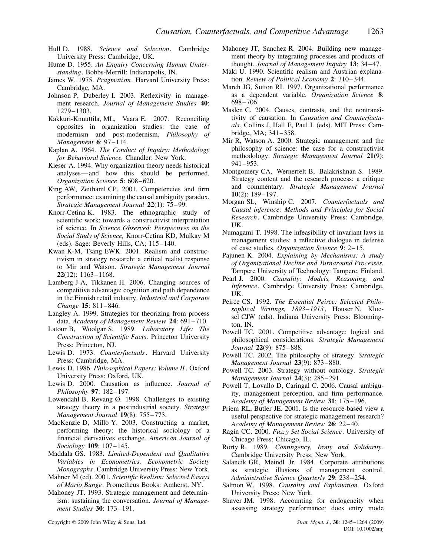- Hull D. 1988. *Science and Selection*. Cambridge University Press: Cambridge, UK.
- Hume D. 1955. *An Enquiry Concerning Human Understanding*. Bobbs-Merrill: Indianapolis, IN.
- James W. 1975. *Pragmatism*. Harvard University Press: Cambridge, MA.
- Johnson P, Duberley I. 2003. Reflexivity in management research. *Journal of Management Studies* **40**: 1279–1303.
- Kakkuri-Knuuttila, ML, Vaara E. 2007. Reconciling opposites in organization studies: the case of modernism and post-modernism. *Philosophy of Management* **6**: 97–114.
- Kaplan A. 1964. *The Conduct of Inquiry: Methodology for Behavioral Science.* Chandler: New York.
- Kieser A. 1994. Why organization theory needs historical analyses—and how this should be performed. *Organization Science* **5**: 608–620.
- King AW, Zeithaml CP. 2001. Competencies and firm performance: examining the causal ambiguity paradox. *Strategic Management Journal* **22**(1): 75–99.
- Knorr-Cetina K. 1983. The ethnographic study of scientific work: towards a constructivist interpretation of science. In *Science Observed: Perspectives on the Social Study of Science,* Knorr-Cetina KD, Mulkay M (eds). Sage: Beverly Hills, CA; 115–140.
- Kwan K-M, Tsang EWK. 2001. Realism and constructivism in strategy research: a critical realist response to Mir and Watson. *Strategic Management Journal* **22**(12): 1163–1168.
- Lamberg J-A, Tikkanen H. 2006. Changing sources of competitive advantage: cognition and path dependence in the Finnish retail industry. *Industrial and Corporate Change* **15**: 811–846.
- Langley A. 1999. Strategies for theorizing from process data. *Academy of Management Review* **24**: 691–710.
- Latour B, Woolgar S. 1989. *Laboratory Life: The Construction of Scientific Facts*. Princeton University Press: Princeton, NJ.
- Lewis D. 1973. *Counterfactuals*. Harvard University Press: Cambridge, MA.
- Lewis D. 1986. *Philosophical Papers: Volume II*. Oxford University Press: Oxford, UK.
- Lewis D. 2000. Causation as influence. *Journal of Philosophy* **97**: 182–197.
- Løwendahl B, Revang Ø. 1998. Challenges to existing strategy theory in a postindustrial society. *Strategic Management Journal* **19**(8): 755–773.
- MacKenzie D, Millo Y. 2003. Constructing a market, performing theory: the historical sociology of a financial derivatives exchange. *American Journal of Sociology* **109**: 107–145.
- Maddala GS. 1983. *Limited-Dependent and Qualitative Variables in Econometrics, Econometric Society Monographs*. Cambridge University Press: New York.
- Mahner M (ed). 2001. *Scientific Realism: Selected Essays of Mario Bunge*. Prometheus Books: Amherst, NY.
- Mahoney JT. 1993. Strategic management and determinism: sustaining the conversation. *Journal of Management Studies* **30**: 173–191.
- Mahoney JT, Sanchez R. 2004. Building new management theory by integrating processes and products of thought. *Journal of Management Inquiry* **13**: 34–47.
- Mäki U. 1990. Scientific realism and Austrian explanation. *Review of Political Economy* **2**: 310–344.
- March JG, Sutton RI. 1997. Organizational performance as a dependent variable. *Organization Science* **8**: 698–706.
- Maslen C. 2004. Causes, contrasts, and the nontransitivity of causation. In *Causation and Counterfactuals*, Collins J, Hall E, Paul L (eds). MIT Press: Cambridge, MA; 341–358.
- Mir R, Watson A. 2000. Strategic management and the philosophy of science: the case for a constructivist methodology. *Strategic Management Journal* **21**(9): 941–953.
- Montgomery CA, Wernerfelt B, Balakrishnan S. 1989. Strategy content and the research process: a critique and commentary. *Strategic Management Journal* **10**(2): 189–197.
- Morgan SL, Winship C. 2007. *Counterfactuals and Causal inference: Methods and Principles for Social Research*. Cambridge University Press: Cambridge, UK.
- Numagami T. 1998. The infeasibility of invariant laws in management studies: a reflective dialogue in defense of case studies. *Organization Science* **9**: 2–15.
- Pajunen K. 2004. *Explaining by Mechanisms: A study of Organizational Decline and Turnaround Processes.* Tampere University of Technology: Tampere, Finland.
- Pearl J. 2000. *Causality: Models, Reasoning, and Inference*. Cambridge University Press: Cambridge, UK.
- Peirce CS. 1992. *The Essential Peirce: Selected Philosophical Writings, 1893–1913* , Houser N, Kloesel CJW (eds). Indiana University Press: Bloomington, IN.
- Powell TC. 2001. Competitive advantage: logical and philosophical considerations. *Strategic Management Journal* **22**(9): 875–888.
- Powell TC. 2002. The philosophy of strategy. *Strategic Management Journal* **23**(9): 873–880.
- Powell TC. 2003. Strategy without ontology. *Strategic Management Journal* **24**(3): 285–291.
- Powell T, Lovallo D, Caringal C. 2006. Causal ambiguity, management perception, and firm performance. *Academy of Management Review* **31**: 175–196.
- Priem RL, Butler JE. 2001. Is the resource-based view a useful perspective for strategic management research? *Academy of Management Review* **26**: 22–40.
- Ragin CC. 2000. *Fuzzy Set Social Science*. University of Chicago Press: Chicago, IL.
- Rorty R. 1989. *Contingency, Irony and Solidarity*. Cambridge University Press: New York.
- Salancik GR, Meindl Jr. 1984. Corporate attributions as strategic illusions of management control. *Administrative Science Quarterly* **29**: 238–254.
- Salmon W. 1998. *Causality and Explanation.* Oxford University Press: New York.
- Shaver JM. 1998. Accounting for endogeneity when assessing strategy performance: does entry mode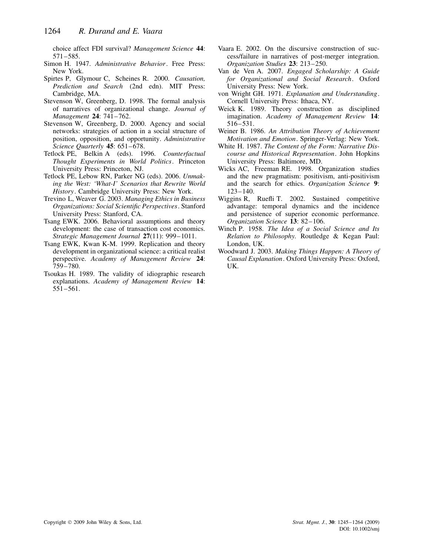choice affect FDI survival? *Management Science* **44**: 571–585.

- Simon H. 1947. *Administrative Behavior*. Free Press: New York.
- Spirtes P, Glymour C, Scheines R. 2000. *Causation, Prediction and Search* (2nd edn). MIT Press: Cambridge, MA.
- Stevenson W, Greenberg, D. 1998. The formal analysis of narratives of organizational change. *Journal of Management* **24**: 741–762.
- Stevenson W, Greenberg, D. 2000. Agency and social networks: strategies of action in a social structure of position, opposition, and opportunity. *Administrative Science Quarterly* **45**: 651–678.
- Tetlock PE, Belkin A (eds). 1996. *Counterfactual Thought Experiments in World Politics*. Princeton University Press: Princeton, NJ.
- Tetlock PE, Lebow RN, Parker NG (eds). 2006. *Unmaking the West: 'What-I' Scenarios that Rewrite World History*. Cambridge University Press: New York.
- Trevino L, Weaver G. 2003. *Managing Ethics in Business Organizations: Social Scientific Perspectives*. Stanford University Press: Stanford, CA.
- Tsang EWK. 2006. Behavioral assumptions and theory development: the case of transaction cost economics. *Strategic Management Journal* **27**(11): 999–1011.
- Tsang EWK, Kwan K-M. 1999. Replication and theory development in organizational science: a critical realist perspective. *Academy of Management Review* **24**: 759–780.
- Tsoukas H. 1989. The validity of idiographic research explanations. *Academy of Management Review* **14**: 551–561.
- Vaara E. 2002. On the discursive construction of success/failure in narratives of post-merger integration. *Organization Studies* **23**: 213–250.
- Van de Ven A. 2007. *Engaged Scholarship: A Guide for Organizational and Social Research*. Oxford University Press: New York.
- von Wright GH. 1971. *Explanation and Understanding*. Cornell University Press: Ithaca, NY.
- Weick K. 1989. Theory construction as disciplined imagination. *Academy of Management Review* **14**: 516–531.
- Weiner B. 1986. *An Attribution Theory of Achievement Motivation and Emotion*. Springer-Verlag: New York.
- White H. 1987. *The Content of the Form: Narrative Discourse and Historical Representation*. John Hopkins University Press: Baltimore, MD.
- Wicks AC, Freeman RE. 1998. Organization studies and the new pragmatism: positivism, anti-positivism and the search for ethics. *Organization Science* **9**: 123–140.
- Wiggins R, Ruefli T. 2002. Sustained competitive advantage: temporal dynamics and the incidence and persistence of superior economic performance. *Organization Science* **13**: 82–106.
- Winch P. 1958. *The Idea of a Social Science and Its Relation to Philosophy.* Routledge & Kegan Paul: London, UK.
- Woodward J. 2003. *Making Things Happen: A Theory of Causal Explanation*. Oxford University Press: Oxford, UK.